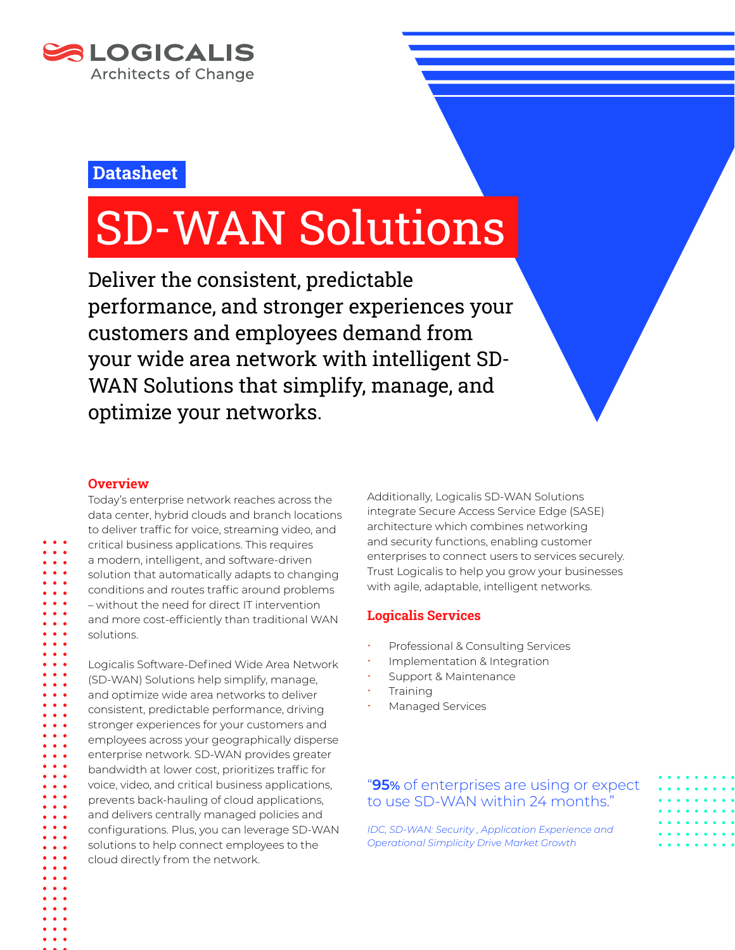

## **Datasheet**

# SD-WAN Solutions

Deliver the consistent, predictable performance, and stronger experiences your customers and employees demand from your wide area network with intelligent SD-WAN Solutions that simplify, manage, and optimize your networks.

## **Overview**

Today's enterprise network reaches across the data center, hybrid clouds and branch locations to deliver traffic for voice, streaming video, and critical business applications. This requires a modern, intelligent, and software-driven solution that automatically adapts to changing conditions and routes traffic around problems – without the need for direct IT intervention and more cost-efficiently than traditional WAN solutions.

Logicalis Software-Defined Wide Area Network (SD-WAN) Solutions help simplify, manage, and optimize wide area networks to deliver consistent, predictable performance, driving stronger experiences for your customers and employees across your geographically disperse enterprise network. SD-WAN provides greater bandwidth at lower cost, prioritizes traffic for voice, video, and critical business applications, prevents back-hauling of cloud applications, and delivers centrally managed policies and configurations. Plus, you can leverage SD-WAN solutions to help connect employees to the cloud directly from the network.

Additionally, Logicalis SD-WAN Solutions integrate Secure Access Service Edge (SASE) architecture which combines networking and security functions, enabling customer enterprises to connect users to services securely. Trust Logicalis to help you grow your businesses with agile, adaptable, intelligent networks.

## **Logicalis Services**

- Professional & Consulting Services
- Implementation & Integration
- Support & Maintenance
- **Training**
- Managed Services

## "**95%** of enterprises are using or expect to use SD-WAN within 24 months."

*IDC, SD-WAN: Security , Application Experience and Operational Simplicity Drive Market Growth*